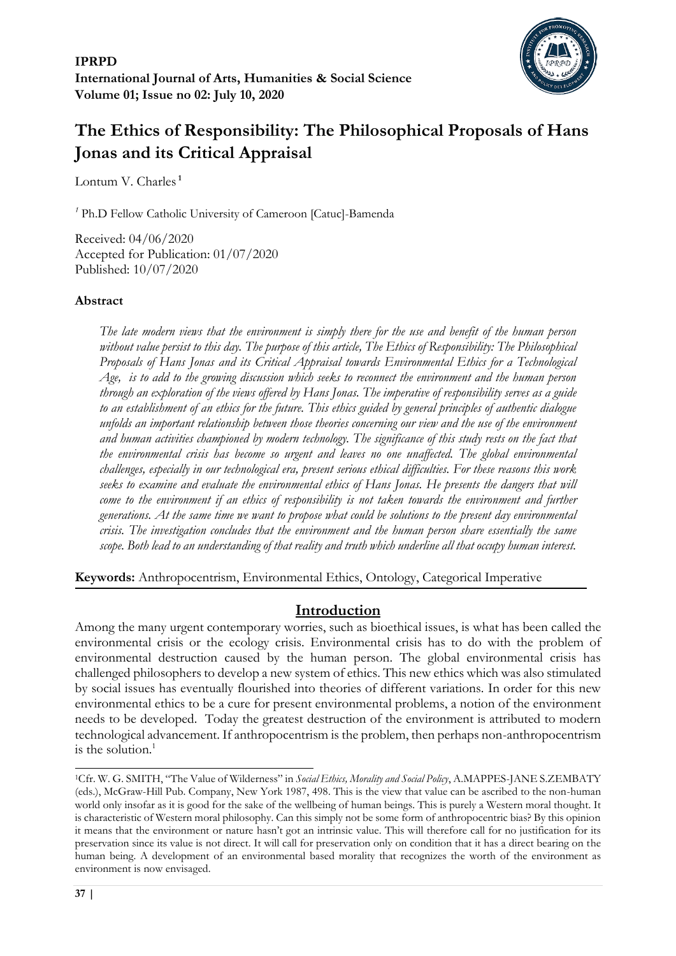

# **The Ethics of Responsibility: The Philosophical Proposals of Hans Jonas and its Critical Appraisal**

Lontum V. Charles **<sup>1</sup>**

*<sup>1</sup>* Ph.D Fellow Catholic University of Cameroon [Catuc]-Bamenda

Received: 04/06/2020 Accepted for Publication: 01/07/2020 Published: 10/07/2020

#### **Abstract**

*The late modern views that the environment is simply there for the use and benefit of the human person without value persist to this day. The purpose of this article, The Ethics of Responsibility: The Philosophical Proposals of Hans Jonas and its Critical Appraisal towards Environmental Ethics for a Technological Age, is to add to the growing discussion which seeks to reconnect the environment and the human person through an exploration of the views offered by Hans Jonas. The imperative of responsibility serves as a guide to an establishment of an ethics for the future. This ethics guided by general principles of authentic dialogue unfolds an important relationship between those theories concerning our view and the use of the environment and human activities championed by modern technology. The significance of this study rests on the fact that the environmental crisis has become so urgent and leaves no one unaffected. The global environmental challenges, especially in our technological era, present serious ethical difficulties. For these reasons this work seeks to examine and evaluate the environmental ethics of Hans Jonas. He presents the dangers that will come to the environment if an ethics of responsibility is not taken towards the environment and further generations. At the same time we want to propose what could be solutions to the present day environmental crisis. The investigation concludes that the environment and the human person share essentially the same scope. Both lead to an understanding of that reality and truth which underline all that occupy human interest.*

**Keywords:** Anthropocentrism, Environmental Ethics, Ontology, Categorical Imperative

## **Introduction**

Among the many urgent contemporary worries, such as bioethical issues, is what has been called the environmental crisis or the ecology crisis. Environmental crisis has to do with the problem of environmental destruction caused by the human person. The global environmental crisis has challenged philosophers to develop a new system of ethics. This new ethics which was also stimulated by social issues has eventually flourished into theories of different variations. In order for this new environmental ethics to be a cure for present environmental problems, a notion of the environment needs to be developed. Today the greatest destruction of the environment is attributed to modern technological advancement. If anthropocentrism is the problem, then perhaps non-anthropocentrism is the solution.<sup>1</sup>

<sup>1</sup>Cfr. W. G. SMITH, "The Value of Wilderness" in *Social Ethics, Morality and Social Policy*, A.MAPPES-JANE S.ZEMBATY (eds.), McGraw-Hill Pub. Company, New York 1987, 498. This is the view that value can be ascribed to the non-human world only insofar as it is good for the sake of the wellbeing of human beings. This is purely a Western moral thought. It is characteristic of Western moral philosophy. Can this simply not be some form of anthropocentric bias? By this opinion it means that the environment or nature hasn't got an intrinsic value. This will therefore call for no justification for its preservation since its value is not direct. It will call for preservation only on condition that it has a direct bearing on the human being. A development of an environmental based morality that recognizes the worth of the environment as environment is now envisaged.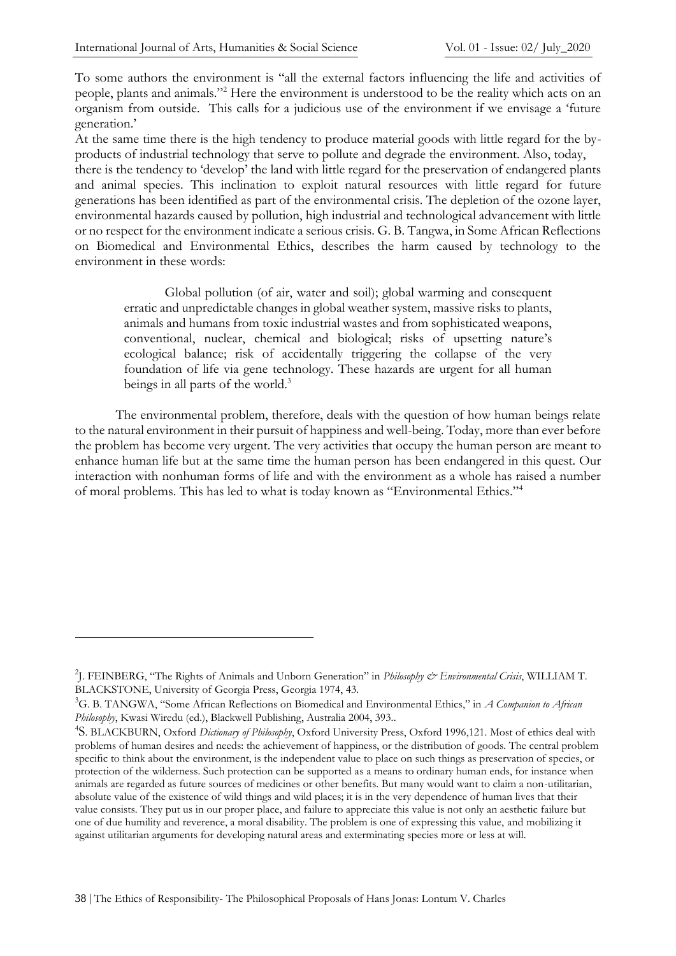To some authors the environment is "all the external factors influencing the life and activities of people, plants and animals."<sup>2</sup> Here the environment is understood to be the reality which acts on an organism from outside. This calls for a judicious use of the environment if we envisage a 'future generation.'

At the same time there is the high tendency to produce material goods with little regard for the byproducts of industrial technology that serve to pollute and degrade the environment. Also, today, there is the tendency to 'develop' the land with little regard for the preservation of endangered plants and animal species. This inclination to exploit natural resources with little regard for future generations has been identified as part of the environmental crisis. The depletion of the ozone layer, environmental hazards caused by pollution, high industrial and technological advancement with little or no respect for the environment indicate a serious crisis. G. B. Tangwa, in Some African Reflections on Biomedical and Environmental Ethics, describes the harm caused by technology to the environment in these words:

Global pollution (of air, water and soil); global warming and consequent erratic and unpredictable changes in global weather system, massive risks to plants, animals and humans from toxic industrial wastes and from sophisticated weapons, conventional, nuclear, chemical and biological; risks of upsetting nature's ecological balance; risk of accidentally triggering the collapse of the very foundation of life via gene technology. These hazards are urgent for all human beings in all parts of the world.<sup>3</sup>

The environmental problem, therefore, deals with the question of how human beings relate to the natural environment in their pursuit of happiness and well-being. Today, more than ever before the problem has become very urgent. The very activities that occupy the human person are meant to enhance human life but at the same time the human person has been endangered in this quest. Our interaction with nonhuman forms of life and with the environment as a whole has raised a number of moral problems. This has led to what is today known as "Environmental Ethics."<sup>4</sup>

<sup>2</sup> J. FEINBERG, "The Rights of Animals and Unborn Generation" in *Philosophy & Environmental Crisis*, WILLIAM T. BLACKSTONE, University of Georgia Press, Georgia 1974, 43.

<sup>3</sup>G. B. TANGWA, "Some African Reflections on Biomedical and Environmental Ethics," in *A Companion to African Philosophy*, Kwasi Wiredu (ed.), Blackwell Publishing, Australia 2004, 393..

<sup>4</sup> S. BLACKBURN, Oxford *Dictionary of Philosophy*, Oxford University Press, Oxford 1996,121. Most of ethics deal with problems of human desires and needs: the achievement of happiness, or the distribution of goods. The central problem specific to think about the environment, is the independent value to place on such things as preservation of species, or protection of the wilderness. Such protection can be supported as a means to ordinary human ends, for instance when animals are regarded as future sources of medicines or other benefits. But many would want to claim a non-utilitarian, absolute value of the existence of wild things and wild places; it is in the very dependence of human lives that their value consists. They put us in our proper place, and failure to appreciate this value is not only an aesthetic failure but one of due humility and reverence, a moral disability. The problem is one of expressing this value, and mobilizing it against utilitarian arguments for developing natural areas and exterminating species more or less at will.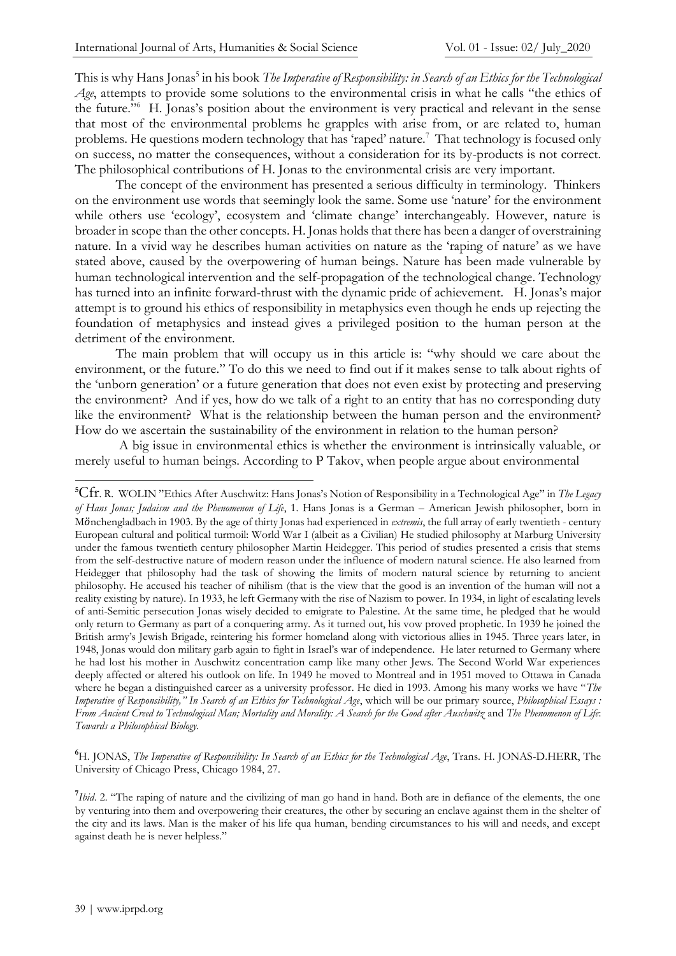This is why Hans Jonas<sup>5</sup> in his book *The Imperative of Responsibility: in Search of an Ethics for the Technological Age*, attempts to provide some solutions to the environmental crisis in what he calls "the ethics of the future."<sup>6</sup> H. Jonas's position about the environment is very practical and relevant in the sense that most of the environmental problems he grapples with arise from, or are related to, human problems. He questions modern technology that has 'raped' nature.<sup>7</sup> That technology is focused only on success, no matter the consequences, without a consideration for its by-products is not correct. The philosophical contributions of H. Jonas to the environmental crisis are very important.

The concept of the environment has presented a serious difficulty in terminology. Thinkers on the environment use words that seemingly look the same. Some use 'nature' for the environment while others use 'ecology', ecosystem and 'climate change' interchangeably. However, nature is broader in scope than the other concepts. H. Jonas holds that there has been a danger of overstraining nature. In a vivid way he describes human activities on nature as the 'raping of nature' as we have stated above, caused by the overpowering of human beings. Nature has been made vulnerable by human technological intervention and the self-propagation of the technological change. Technology has turned into an infinite forward-thrust with the dynamic pride of achievement. H. Jonas's major attempt is to ground his ethics of responsibility in metaphysics even though he ends up rejecting the foundation of metaphysics and instead gives a privileged position to the human person at the detriment of the environment.

The main problem that will occupy us in this article is: "why should we care about the environment, or the future." To do this we need to find out if it makes sense to talk about rights of the 'unborn generation' or a future generation that does not even exist by protecting and preserving the environment? And if yes, how do we talk of a right to an entity that has no corresponding duty like the environment? What is the relationship between the human person and the environment? How do we ascertain the sustainability of the environment in relation to the human person?

A big issue in environmental ethics is whether the environment is intrinsically valuable, or merely useful to human beings. According to P Takov, when people argue about environmental

**<sup>6</sup>**H. JONAS, *The Imperative of Responsibility: In Search of an Ethics for the Technological Age*, Trans. H. JONAS-D.HERR, The University of Chicago Press, Chicago 1984, 27.

<sup>7</sup>Ibid. 2. "The raping of nature and the civilizing of man go hand in hand. Both are in defiance of the elements, the one by venturing into them and overpowering their creatures, the other by securing an enclave against them in the shelter of the city and its laws. Man is the maker of his life qua human, bending circumstances to his will and needs, and except against death he is never helpless."

**<sup>5</sup>**Cfr. R. WOLIN "Ethics After Auschwitz: Hans Jonas's Notion of Responsibility in a Technological Age" in *The Legacy of Hans Jonas; Judaism and the Phenomenon of Life*, 1. Hans Jonas is a German – American Jewish philosopher, born in M̈nchengladbach in 1903. By the age of thirty Jonas had experienced in *extremis*, the full array of early twentieth - century European cultural and political turmoil: World War I (albeit as a Civilian) He studied philosophy at Marburg University under the famous twentieth century philosopher Martin Heidegger. This period of studies presented a crisis that stems from the self-destructive nature of modern reason under the influence of modern natural science. He also learned from Heidegger that philosophy had the task of showing the limits of modern natural science by returning to ancient philosophy. He accused his teacher of nihilism (that is the view that the good is an invention of the human will not a reality existing by nature). In 1933, he left Germany with the rise of Nazism to power. In 1934, in light of escalating levels of anti-Semitic persecution Jonas wisely decided to emigrate to Palestine. At the same time, he pledged that he would only return to Germany as part of a conquering army. As it turned out, his vow proved prophetic. In 1939 he joined the British army's Jewish Brigade, reintering his former homeland along with victorious allies in 1945. Three years later, in 1948, Jonas would don military garb again to fight in Israel's war of independence. He later returned to Germany where he had lost his mother in Auschwitz concentration camp like many other Jews. The Second World War experiences deeply affected or altered his outlook on life. In 1949 he moved to Montreal and in 1951 moved to Ottawa in Canada where he began a distinguished career as a university professor. He died in 1993. Among his many works we have "*The Imperative of Responsibility," In Search of an Ethics for Technological Age*, which will be our primary source, *Philosophical Essays : From Ancient Creed to Technological Man; Mortality and Morality: A Search for the Good after Auschwitz* and *The Phenomenon of Life*: *Towards a Philosophical Biology.*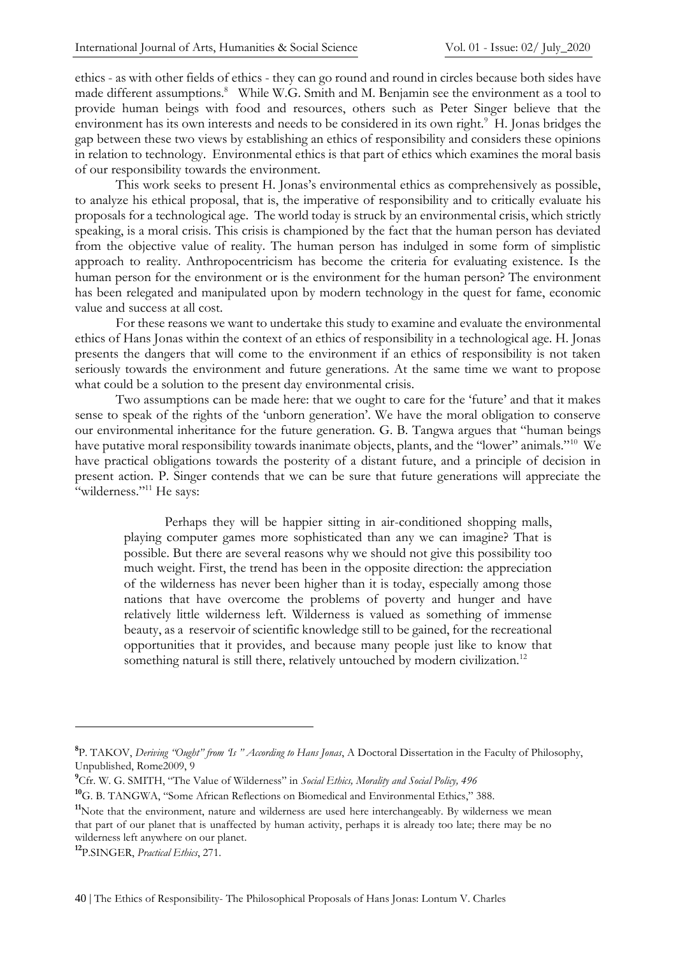ethics - as with other fields of ethics - they can go round and round in circles because both sides have made different assumptions.<sup>8</sup> While W.G. Smith and M. Benjamin see the environment as a tool to provide human beings with food and resources, others such as Peter Singer believe that the environment has its own interests and needs to be considered in its own right.<sup>9</sup> H. Jonas bridges the gap between these two views by establishing an ethics of responsibility and considers these opinions in relation to technology. Environmental ethics is that part of ethics which examines the moral basis of our responsibility towards the environment.

This work seeks to present H. Jonas's environmental ethics as comprehensively as possible, to analyze his ethical proposal, that is, the imperative of responsibility and to critically evaluate his proposals for a technological age. The world today is struck by an environmental crisis, which strictly speaking, is a moral crisis. This crisis is championed by the fact that the human person has deviated from the objective value of reality. The human person has indulged in some form of simplistic approach to reality. Anthropocentricism has become the criteria for evaluating existence. Is the human person for the environment or is the environment for the human person? The environment has been relegated and manipulated upon by modern technology in the quest for fame, economic value and success at all cost.

For these reasons we want to undertake this study to examine and evaluate the environmental ethics of Hans Jonas within the context of an ethics of responsibility in a technological age. H. Jonas presents the dangers that will come to the environment if an ethics of responsibility is not taken seriously towards the environment and future generations. At the same time we want to propose what could be a solution to the present day environmental crisis.

Two assumptions can be made here: that we ought to care for the 'future' and that it makes sense to speak of the rights of the 'unborn generation'. We have the moral obligation to conserve our environmental inheritance for the future generation. G. B. Tangwa argues that "human beings have putative moral responsibility towards inanimate objects, plants, and the "lower" animals."<sup>10</sup> We have practical obligations towards the posterity of a distant future, and a principle of decision in present action. P. Singer contends that we can be sure that future generations will appreciate the "wilderness."<sup>11</sup> He says:

Perhaps they will be happier sitting in air-conditioned shopping malls, playing computer games more sophisticated than any we can imagine? That is possible. But there are several reasons why we should not give this possibility too much weight. First, the trend has been in the opposite direction: the appreciation of the wilderness has never been higher than it is today, especially among those nations that have overcome the problems of poverty and hunger and have relatively little wilderness left. Wilderness is valued as something of immense beauty, as a reservoir of scientific knowledge still to be gained, for the recreational opportunities that it provides, and because many people just like to know that something natural is still there, relatively untouched by modern civilization.<sup>12</sup>

**<sup>8</sup>** P. TAKOV, *Deriving "Ought" from 'Is " According to Hans Jonas*, A Doctoral Dissertation in the Faculty of Philosophy, Unpublished, Rome2009, 9

**<sup>9</sup>**Cfr. W. G. SMITH, "The Value of Wilderness" in *Social Ethics, Morality and Social Policy, 496*

**<sup>10</sup>**G. B. TANGWA, "Some African Reflections on Biomedical and Environmental Ethics," 388.

<sup>&</sup>lt;sup>11</sup>Note that the environment, nature and wilderness are used here interchangeably. By wilderness we mean that part of our planet that is unaffected by human activity, perhaps it is already too late; there may be no wilderness left anywhere on our planet.

**<sup>12</sup>**P.SINGER, *Practical Ethics*, 271.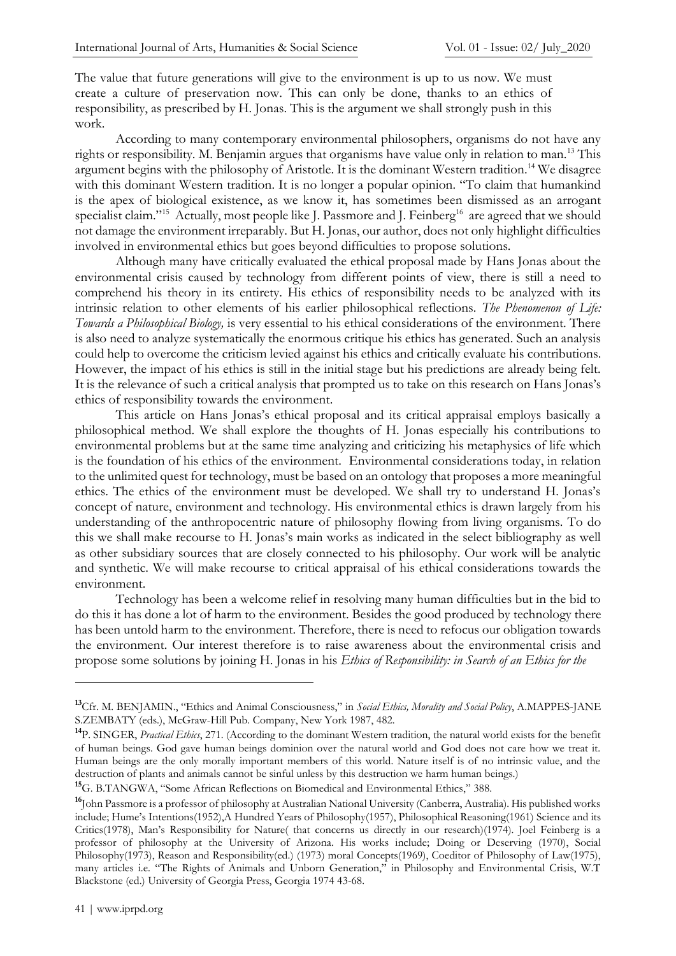The value that future generations will give to the environment is up to us now. We must create a culture of preservation now. This can only be done, thanks to an ethics of responsibility, as prescribed by H. Jonas. This is the argument we shall strongly push in this work.

According to many contemporary environmental philosophers, organisms do not have any rights or responsibility. M. Benjamin argues that organisms have value only in relation to man.<sup>13</sup> This argument begins with the philosophy of Aristotle. It is the dominant Western tradition.<sup>14</sup> We disagree with this dominant Western tradition. It is no longer a popular opinion. "To claim that humankind is the apex of biological existence, as we know it, has sometimes been dismissed as an arrogant specialist claim."<sup>15</sup> Actually, most people like J. Passmore and J. Feinberg<sup>16</sup> are agreed that we should not damage the environment irreparably. But H. Jonas, our author, does not only highlight difficulties involved in environmental ethics but goes beyond difficulties to propose solutions.

Although many have critically evaluated the ethical proposal made by Hans Jonas about the environmental crisis caused by technology from different points of view, there is still a need to comprehend his theory in its entirety. His ethics of responsibility needs to be analyzed with its intrinsic relation to other elements of his earlier philosophical reflections. *The Phenomenon of Life: Towards a Philosophical Biology,* is very essential to his ethical considerations of the environment. There is also need to analyze systematically the enormous critique his ethics has generated. Such an analysis could help to overcome the criticism levied against his ethics and critically evaluate his contributions. However, the impact of his ethics is still in the initial stage but his predictions are already being felt. It is the relevance of such a critical analysis that prompted us to take on this research on Hans Jonas's ethics of responsibility towards the environment.

This article on Hans Jonas's ethical proposal and its critical appraisal employs basically a philosophical method. We shall explore the thoughts of H. Jonas especially his contributions to environmental problems but at the same time analyzing and criticizing his metaphysics of life which is the foundation of his ethics of the environment. Environmental considerations today, in relation to the unlimited quest for technology, must be based on an ontology that proposes a more meaningful ethics. The ethics of the environment must be developed. We shall try to understand H. Jonas's concept of nature, environment and technology. His environmental ethics is drawn largely from his understanding of the anthropocentric nature of philosophy flowing from living organisms. To do this we shall make recourse to H. Jonas's main works as indicated in the select bibliography as well as other subsidiary sources that are closely connected to his philosophy. Our work will be analytic and synthetic. We will make recourse to critical appraisal of his ethical considerations towards the environment.

Technology has been a welcome relief in resolving many human difficulties but in the bid to do this it has done a lot of harm to the environment. Besides the good produced by technology there has been untold harm to the environment. Therefore, there is need to refocus our obligation towards the environment. Our interest therefore is to raise awareness about the environmental crisis and propose some solutions by joining H. Jonas in his *Ethics of Responsibility: in Search of an Ethics for the*

**<sup>13</sup>**Cfr. M. BENJAMIN., "Ethics and Animal Consciousness," in *Social Ethics, Morality and Social Policy*, A.MAPPES-JANE S.ZEMBATY (eds.), McGraw-Hill Pub. Company, New York 1987, 482.

**<sup>14</sup>**P. SINGER, *Practical Ethics*, 271. (According to the dominant Western tradition, the natural world exists for the benefit of human beings. God gave human beings dominion over the natural world and God does not care how we treat it. Human beings are the only morally important members of this world. Nature itself is of no intrinsic value, and the destruction of plants and animals cannot be sinful unless by this destruction we harm human beings.)

**<sup>15</sup>**G. B.TANGWA, "Some African Reflections on Biomedical and Environmental Ethics," 388.

**<sup>16</sup>**John Passmore is a professor of philosophy at Australian National University (Canberra, Australia). His published works include; Hume's Intentions(1952),A Hundred Years of Philosophy(1957), Philosophical Reasoning(1961) Science and its Critics(1978), Man's Responsibility for Nature( that concerns us directly in our research)(1974). Joel Feinberg is a professor of philosophy at the University of Arizona. His works include; Doing or Deserving (1970), Social Philosophy(1973), Reason and Responsibility(ed.) (1973) moral Concepts(1969), Coeditor of Philosophy of Law(1975), many articles i.e. "The Rights of Animals and Unborn Generation," in Philosophy and Environmental Crisis, W.T Blackstone (ed.) University of Georgia Press, Georgia 1974 43-68.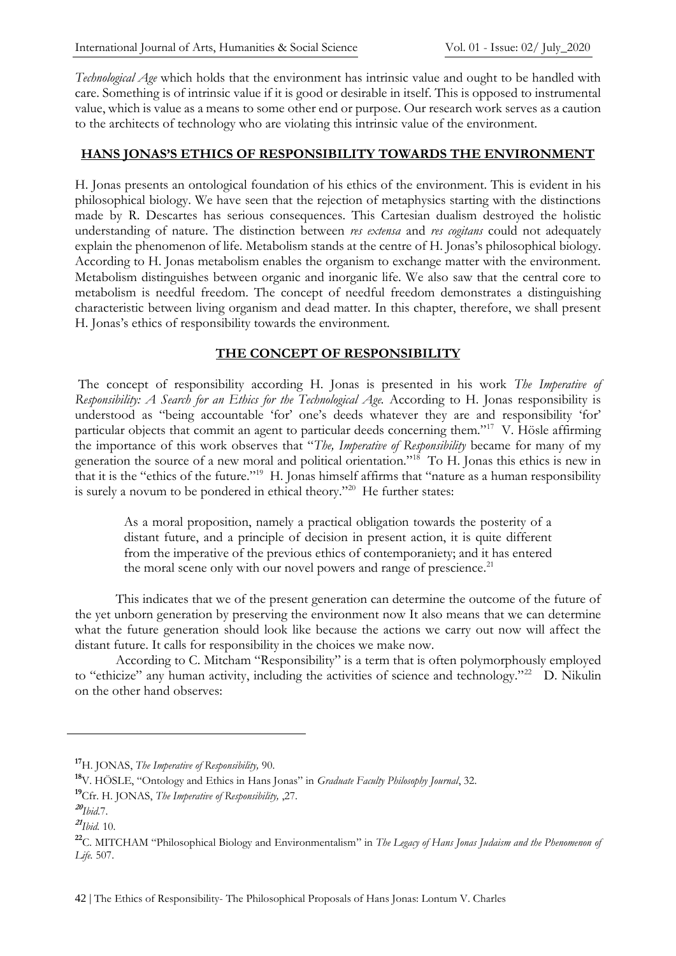*Technological Age* which holds that the environment has intrinsic value and ought to be handled with care. Something is of intrinsic value if it is good or desirable in itself. This is opposed to instrumental value, which is value as a means to some other end or purpose. Our research work serves as a caution to the architects of technology who are violating this intrinsic value of the environment.

#### **HANS JONAS'S ETHICS OF RESPONSIBILITY TOWARDS THE ENVIRONMENT**

H. Jonas presents an ontological foundation of his ethics of the environment. This is evident in his philosophical biology. We have seen that the rejection of metaphysics starting with the distinctions made by R. Descartes has serious consequences. This Cartesian dualism destroyed the holistic understanding of nature. The distinction between *res extensa* and *res cogitans* could not adequately explain the phenomenon of life. Metabolism stands at the centre of H. Jonas's philosophical biology. According to H. Jonas metabolism enables the organism to exchange matter with the environment. Metabolism distinguishes between organic and inorganic life. We also saw that the central core to metabolism is needful freedom. The concept of needful freedom demonstrates a distinguishing characteristic between living organism and dead matter. In this chapter, therefore, we shall present H. Jonas's ethics of responsibility towards the environment.

### **THE CONCEPT OF RESPONSIBILITY**

The concept of responsibility according H. Jonas is presented in his work *The Imperative of Responsibility: A Search for an Ethics for the Technological Age.* According to H. Jonas responsibility is understood as "being accountable 'for' one's deeds whatever they are and responsibility 'for' particular objects that commit an agent to particular deeds concerning them."<sup>17</sup> V. Hösle affirming the importance of this work observes that "*The, Imperative of Responsibility* became for many of my generation the source of a new moral and political orientation."<sup>18</sup> To H. Jonas this ethics is new in that it is the "ethics of the future."<sup>19</sup> H. Jonas himself affirms that "nature as a human responsibility is surely a novum to be pondered in ethical theory."<sup>20</sup> He further states:

As a moral proposition, namely a practical obligation towards the posterity of a distant future, and a principle of decision in present action, it is quite different from the imperative of the previous ethics of contemporaniety; and it has entered the moral scene only with our novel powers and range of prescience.<sup>21</sup>

This indicates that we of the present generation can determine the outcome of the future of the yet unborn generation by preserving the environment now It also means that we can determine what the future generation should look like because the actions we carry out now will affect the distant future. It calls for responsibility in the choices we make now.

According to C. Mitcham "Responsibility" is a term that is often polymorphously employed to "ethicize" any human activity, including the activities of science and technology."<sup>22</sup> D. Nikulin on the other hand observes:

**<sup>17</sup>**H. JONAS, *The Imperative of Responsibility,* 90.

**<sup>18</sup>**V. HÖSLE, "Ontology and Ethics in Hans Jonas" in *Graduate Faculty Philosophy Journal*, 32.

**<sup>19</sup>**Cfr. H. JONAS, *The Imperative of Responsibility,* ,27.

**<sup>20</sup>** *Ibid.*7.

**<sup>21</sup>** *Ibid.* 10.

**<sup>22</sup>**C. MITCHAM "Philosophical Biology and Environmentalism" in *The Legacy of Hans Jonas Judaism and the Phenomenon of Life.* 507.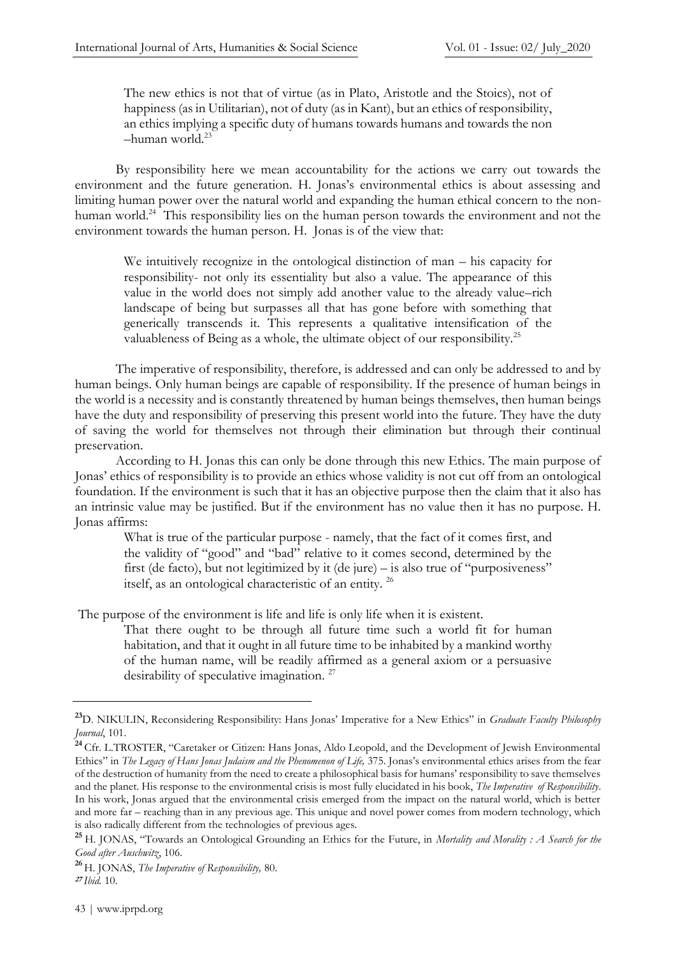The new ethics is not that of virtue (as in Plato, Aristotle and the Stoics), not of happiness (as in Utilitarian), not of duty (as in Kant), but an ethics of responsibility, an ethics implying a specific duty of humans towards humans and towards the non  $-$ human world. $^{23}$ 

By responsibility here we mean accountability for the actions we carry out towards the environment and the future generation. H. Jonas's environmental ethics is about assessing and limiting human power over the natural world and expanding the human ethical concern to the nonhuman world.<sup>24</sup> This responsibility lies on the human person towards the environment and not the environment towards the human person. H. Jonas is of the view that:

We intuitively recognize in the ontological distinction of man – his capacity for responsibility- not only its essentiality but also a value. The appearance of this value in the world does not simply add another value to the already value–rich landscape of being but surpasses all that has gone before with something that generically transcends it. This represents a qualitative intensification of the valuableness of Being as a whole, the ultimate object of our responsibility.<sup>25</sup>

The imperative of responsibility, therefore, is addressed and can only be addressed to and by human beings. Only human beings are capable of responsibility. If the presence of human beings in the world is a necessity and is constantly threatened by human beings themselves, then human beings have the duty and responsibility of preserving this present world into the future. They have the duty of saving the world for themselves not through their elimination but through their continual preservation.

According to H. Jonas this can only be done through this new Ethics. The main purpose of Jonas' ethics of responsibility is to provide an ethics whose validity is not cut off from an ontological foundation. If the environment is such that it has an objective purpose then the claim that it also has an intrinsic value may be justified. But if the environment has no value then it has no purpose. H. Jonas affirms:

What is true of the particular purpose - namely, that the fact of it comes first, and the validity of "good" and "bad" relative to it comes second, determined by the first (de facto), but not legitimized by it (de jure) – is also true of "purposiveness" itself, as an ontological characteristic of an entity. <sup>26</sup>

The purpose of the environment is life and life is only life when it is existent.

That there ought to be through all future time such a world fit for human habitation, and that it ought in all future time to be inhabited by a mankind worthy of the human name, will be readily affirmed as a general axiom or a persuasive desirability of speculative imagination.<sup>27</sup>

**<sup>23</sup>**D. NIKULIN, Reconsidering Responsibility: Hans Jonas' Imperative for a New Ethics" in *Graduate Faculty Philosophy Journal*, 101.

**<sup>24</sup>** Cfr. L.TROSTER, "Caretaker or Citizen: Hans Jonas, Aldo Leopold, and the Development of Jewish Environmental Ethics" in *The Legacy of Hans Jonas Judaism and the Phenomenon of Life,* 375. Jonas's environmental ethics arises from the fear of the destruction of humanity from the need to create a philosophical basis for humans' responsibility to save themselves and the planet. His response to the environmental crisis is most fully elucidated in his book, *The Imperative of Responsibility*. In his work, Jonas argued that the environmental crisis emerged from the impact on the natural world, which is better and more far – reaching than in any previous age. This unique and novel power comes from modern technology, which is also radically different from the technologies of previous ages.

**<sup>25</sup>**H. JONAS, "Towards an Ontological Grounding an Ethics for the Future, in *Mortality and Morality : A Search for the Good after Auschwitz*, 106.

**<sup>26</sup>** H. JONAS, *The Imperative of Responsibility,* 80.

**<sup>27</sup>**  *Ibid.* 10.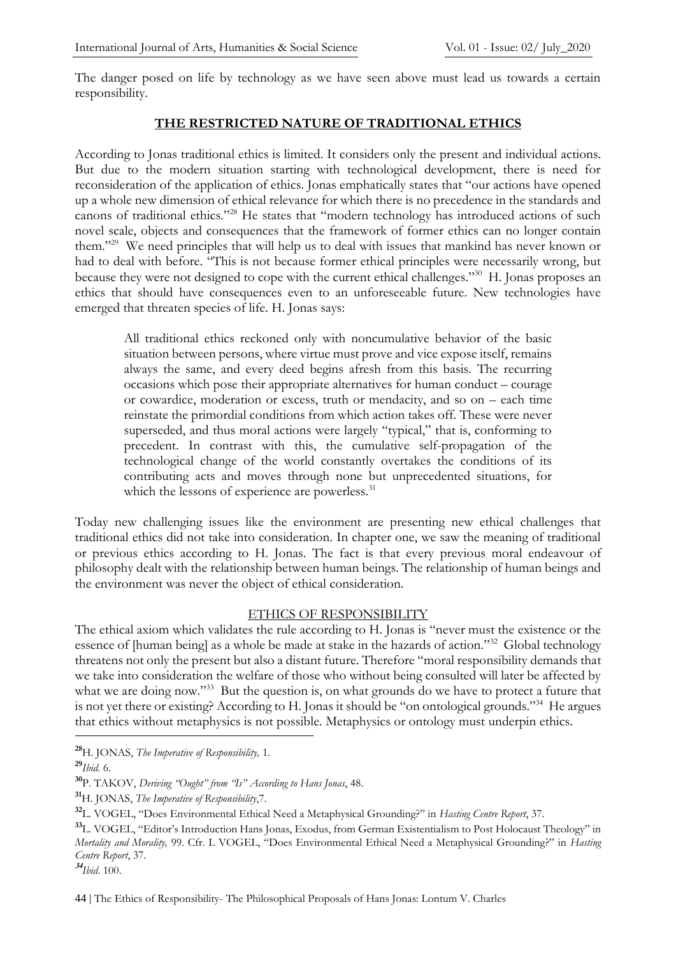The danger posed on life by technology as we have seen above must lead us towards a certain responsibility.

#### **THE RESTRICTED NATURE OF TRADITIONAL ETHICS**

According to Jonas traditional ethics is limited. It considers only the present and individual actions. But due to the modern situation starting with technological development, there is need for reconsideration of the application of ethics. Jonas emphatically states that "our actions have opened up a whole new dimension of ethical relevance for which there is no precedence in the standards and canons of traditional ethics."<sup>28</sup> He states that "modern technology has introduced actions of such novel scale, objects and consequences that the framework of former ethics can no longer contain them."<sup>29</sup> We need principles that will help us to deal with issues that mankind has never known or had to deal with before. "This is not because former ethical principles were necessarily wrong, but because they were not designed to cope with the current ethical challenges."<sup>30</sup> H. Jonas proposes an ethics that should have consequences even to an unforeseeable future. New technologies have emerged that threaten species of life. H. Jonas says:

All traditional ethics reckoned only with noncumulative behavior of the basic situation between persons, where virtue must prove and vice expose itself, remains always the same, and every deed begins afresh from this basis. The recurring occasions which pose their appropriate alternatives for human conduct – courage or cowardice, moderation or excess, truth or mendacity, and so on – each time reinstate the primordial conditions from which action takes off. These were never superseded, and thus moral actions were largely "typical," that is, conforming to precedent. In contrast with this, the cumulative self-propagation of the technological change of the world constantly overtakes the conditions of its contributing acts and moves through none but unprecedented situations, for which the lessons of experience are powerless.<sup>31</sup>

Today new challenging issues like the environment are presenting new ethical challenges that traditional ethics did not take into consideration. In chapter one, we saw the meaning of traditional or previous ethics according to H. Jonas. The fact is that every previous moral endeavour of philosophy dealt with the relationship between human beings. The relationship of human beings and the environment was never the object of ethical consideration.

#### ETHICS OF RESPONSIBILITY

The ethical axiom which validates the rule according to H. Jonas is "never must the existence or the essence of [human being] as a whole be made at stake in the hazards of action."<sup>32</sup> Global technology threatens not only the present but also a distant future. Therefore "moral responsibility demands that we take into consideration the welfare of those who without being consulted will later be affected by what we are doing now."<sup>33</sup> But the question is, on what grounds do we have to protect a future that is not yet there or existing? According to H. Jonas it should be "on ontological grounds."<sup>34</sup> He argues that ethics without metaphysics is not possible. Metaphysics or ontology must underpin ethics.

**<sup>28</sup>**H. JONAS, *The Imperative of Responsibility,* 1.

**<sup>29</sup>***Ibid.* 6.

**<sup>30</sup>**P. TAKOV, *Deriving "Ought" from "Is" According to Hans Jonas*, 48.

**<sup>31</sup>**H. JONAS, *The Imperative of Responsibility*,7.

**<sup>32</sup>**L. VOGEL, "Does Environmental Ethical Need a Metaphysical Grounding?" in *Hasting Centre Report*, 37.

**<sup>33</sup>**L. VOGEL, "Editor's Introduction Hans Jonas, Exodus, from German Existentialism to Post Holocaust Theology" in *Mortality and Morality,* 99. Cfr. L VOGEL, "Does Environmental Ethical Need a Metaphysical Grounding?" in *Hasting Centre Report*, 37.

**34** *Ibid*. 100.

44 | The Ethics of Responsibility- The Philosophical Proposals of Hans Jonas: Lontum V. Charles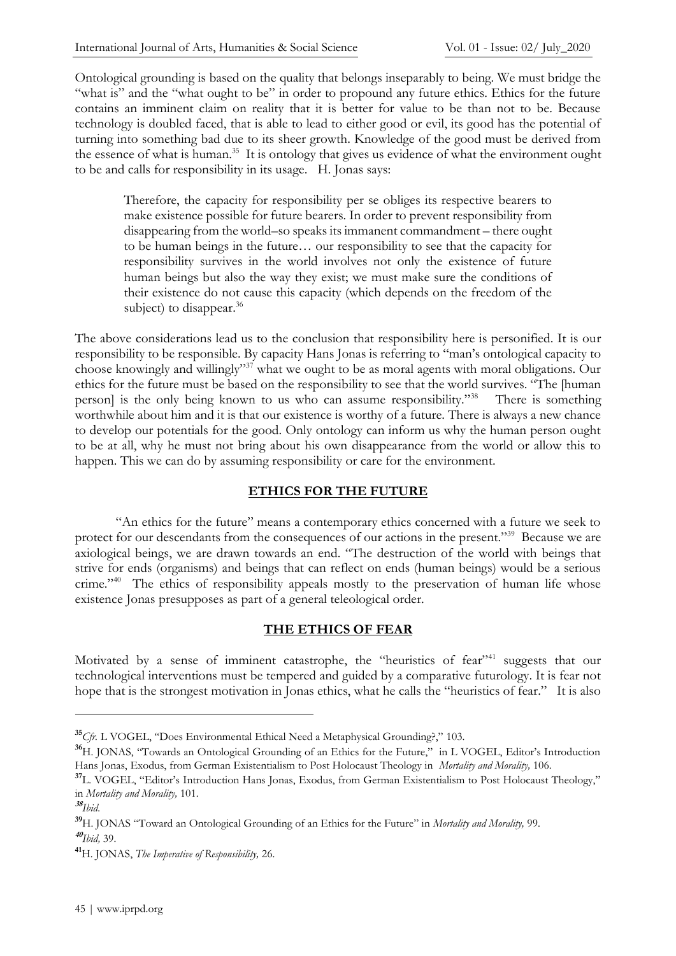Ontological grounding is based on the quality that belongs inseparably to being. We must bridge the "what is" and the "what ought to be" in order to propound any future ethics. Ethics for the future contains an imminent claim on reality that it is better for value to be than not to be. Because technology is doubled faced, that is able to lead to either good or evil, its good has the potential of turning into something bad due to its sheer growth. Knowledge of the good must be derived from the essence of what is human.<sup>35</sup> It is ontology that gives us evidence of what the environment ought to be and calls for responsibility in its usage. H. Jonas says:

Therefore, the capacity for responsibility per se obliges its respective bearers to make existence possible for future bearers. In order to prevent responsibility from disappearing from the world–so speaks its immanent commandment – there ought to be human beings in the future… our responsibility to see that the capacity for responsibility survives in the world involves not only the existence of future human beings but also the way they exist; we must make sure the conditions of their existence do not cause this capacity (which depends on the freedom of the subject) to disappear. $36$ 

The above considerations lead us to the conclusion that responsibility here is personified. It is our responsibility to be responsible. By capacity Hans Jonas is referring to "man's ontological capacity to choose knowingly and willingly"<sup>37</sup> what we ought to be as moral agents with moral obligations. Our ethics for the future must be based on the responsibility to see that the world survives. "The [human person] is the only being known to us who can assume responsibility."<sup>38</sup> There is something worthwhile about him and it is that our existence is worthy of a future. There is always a new chance to develop our potentials for the good. Only ontology can inform us why the human person ought to be at all, why he must not bring about his own disappearance from the world or allow this to happen. This we can do by assuming responsibility or care for the environment.

#### **ETHICS FOR THE FUTURE**

"An ethics for the future" means a contemporary ethics concerned with a future we seek to protect for our descendants from the consequences of our actions in the present."<sup>39</sup> Because we are axiological beings, we are drawn towards an end. "The destruction of the world with beings that strive for ends (organisms) and beings that can reflect on ends (human beings) would be a serious crime."<sup>40</sup> The ethics of responsibility appeals mostly to the preservation of human life whose existence Jonas presupposes as part of a general teleological order.

#### **THE ETHICS OF FEAR**

Motivated by a sense of imminent catastrophe, the "heuristics of fear"<sup>41</sup> suggests that our technological interventions must be tempered and guided by a comparative futurology. It is fear not hope that is the strongest motivation in Jonas ethics, what he calls the "heuristics of fear." It is also

**<sup>35</sup>***Cfr.* L VOGEL, "Does Environmental Ethical Need a Metaphysical Grounding?," 103.

**<sup>36</sup>**H. JONAS, "Towards an Ontological Grounding of an Ethics for the Future," in L VOGEL, Editor's Introduction Hans Jonas, Exodus, from German Existentialism to Post Holocaust Theology in *Mortality and Morality,* 106.

**<sup>37</sup>**L. VOGEL, "Editor's Introduction Hans Jonas, Exodus, from German Existentialism to Post Holocaust Theology," in *Mortality and Morality,* 101.

**<sup>38</sup>** *Ibid.*

**<sup>39</sup>**H. JONAS "Toward an Ontological Grounding of an Ethics for the Future" in *Mortality and Morality,* 99. **40** *Ibid,* 39.

**<sup>41</sup>**H. JONAS, *The Imperative of Responsibility,* 26.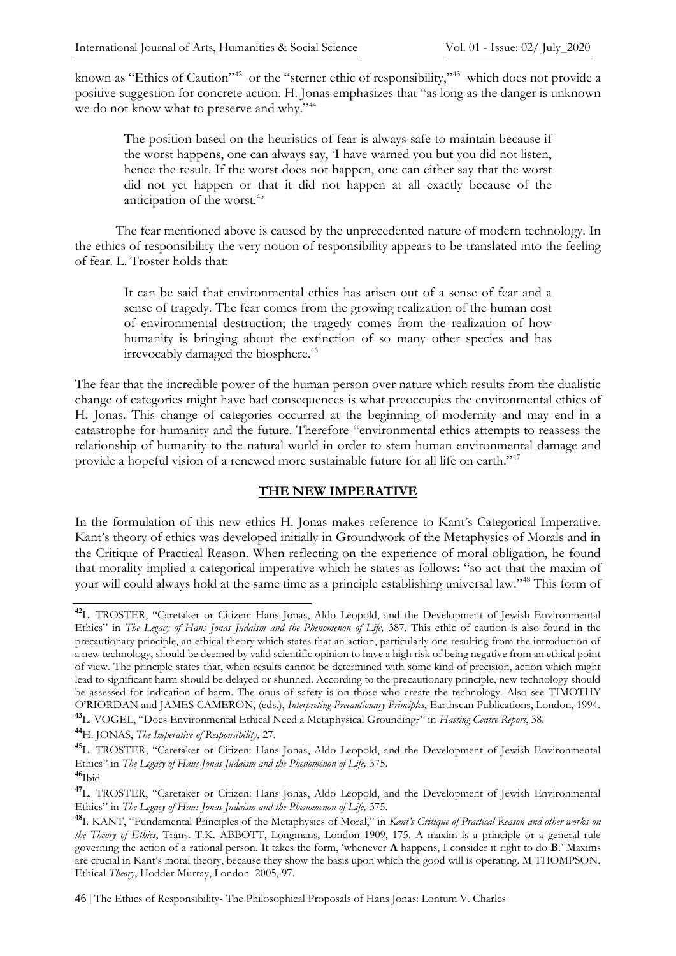known as "Ethics of Caution"<sup>42</sup> or the "sterner ethic of responsibility,"<sup>43</sup> which does not provide a positive suggestion for concrete action. H. Jonas emphasizes that "as long as the danger is unknown we do not know what to preserve and why."<sup>44</sup>

The position based on the heuristics of fear is always safe to maintain because if the worst happens, one can always say, 'I have warned you but you did not listen, hence the result. If the worst does not happen, one can either say that the worst did not yet happen or that it did not happen at all exactly because of the anticipation of the worst.<sup>45</sup>

The fear mentioned above is caused by the unprecedented nature of modern technology. In the ethics of responsibility the very notion of responsibility appears to be translated into the feeling of fear. L. Troster holds that:

It can be said that environmental ethics has arisen out of a sense of fear and a sense of tragedy. The fear comes from the growing realization of the human cost of environmental destruction; the tragedy comes from the realization of how humanity is bringing about the extinction of so many other species and has irrevocably damaged the biosphere.<sup>46</sup>

The fear that the incredible power of the human person over nature which results from the dualistic change of categories might have bad consequences is what preoccupies the environmental ethics of H. Jonas. This change of categories occurred at the beginning of modernity and may end in a catastrophe for humanity and the future. Therefore "environmental ethics attempts to reassess the relationship of humanity to the natural world in order to stem human environmental damage and provide a hopeful vision of a renewed more sustainable future for all life on earth."<sup>47</sup>

#### **THE NEW IMPERATIVE**

In the formulation of this new ethics H. Jonas makes reference to Kant's Categorical Imperative. Kant's theory of ethics was developed initially in Groundwork of the Metaphysics of Morals and in the Critique of Practical Reason. When reflecting on the experience of moral obligation, he found that morality implied a categorical imperative which he states as follows: "so act that the maxim of your will could always hold at the same time as a principle establishing universal law."<sup>48</sup> This form of

**<sup>44</sup>**H. JONAS, *The Imperative of Responsibility,* 27.

46 | The Ethics of Responsibility- The Philosophical Proposals of Hans Jonas: Lontum V. Charles

**<sup>42</sup>**L. TROSTER, "Caretaker or Citizen: Hans Jonas, Aldo Leopold, and the Development of Jewish Environmental Ethics" in *The Legacy of Hans Jonas Judaism and the Phenomenon of Life,* 387. This ethic of caution is also found in the precautionary principle, an ethical theory which states that an action, particularly one resulting from the introduction of a new technology, should be deemed by valid scientific opinion to have a high risk of being negative from an ethical point of view. The principle states that, when results cannot be determined with some kind of precision, action which might lead to significant harm should be delayed or shunned. According to the precautionary principle, new technology should be assessed for indication of harm. The onus of safety is on those who create the technology. Also see TIMOTHY O'RIORDAN and JAMES CAMERON, (eds.), *Interpreting Precautionary Principles*, Earthscan Publications, London, 1994. **<sup>43</sup>**L. VOGEL, "Does Environmental Ethical Need a Metaphysical Grounding?" in *Hasting Centre Report*, 38.

**<sup>45</sup>**L. TROSTER, "Caretaker or Citizen: Hans Jonas, Aldo Leopold, and the Development of Jewish Environmental Ethics" in *The Legacy of Hans Jonas Judaism and the Phenomenon of Life,* 375. **<sup>46</sup>**Ibid

**<sup>47</sup>**L. TROSTER, "Caretaker or Citizen: Hans Jonas, Aldo Leopold, and the Development of Jewish Environmental Ethics" in *The Legacy of Hans Jonas Judaism and the Phenomenon of Life,* 375.

**<sup>48</sup>**I. KANT, "Fundamental Principles of the Metaphysics of Moral," in *Kant's Critique of Practical Reason and other works on the Theory of Ethics*, Trans. T.K. ABBOTT, Longmans, London 1909, 175. A maxim is a principle or a general rule governing the action of a rational person. It takes the form, 'whenever **A** happens, I consider it right to do **B**.' Maxims are crucial in Kant's moral theory, because they show the basis upon which the good will is operating. M THOMPSON, Ethical *Theory*, Hodder Murray, London 2005, 97.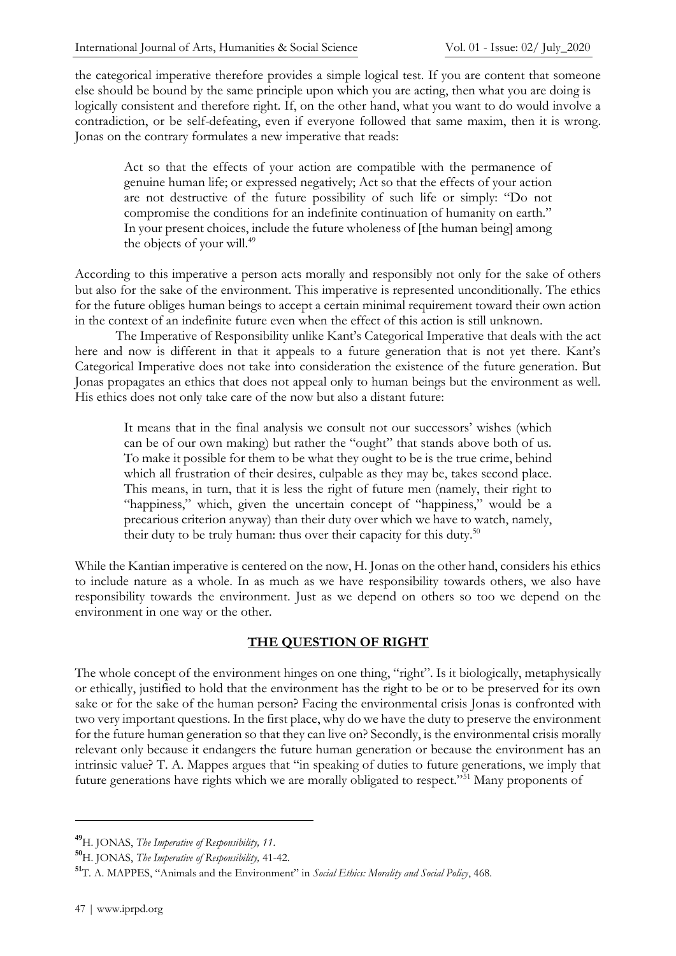the categorical imperative therefore provides a simple logical test. If you are content that someone else should be bound by the same principle upon which you are acting, then what you are doing is logically consistent and therefore right. If, on the other hand, what you want to do would involve a contradiction, or be self-defeating, even if everyone followed that same maxim, then it is wrong. Jonas on the contrary formulates a new imperative that reads:

Act so that the effects of your action are compatible with the permanence of genuine human life; or expressed negatively; Act so that the effects of your action are not destructive of the future possibility of such life or simply: "Do not compromise the conditions for an indefinite continuation of humanity on earth." In your present choices, include the future wholeness of [the human being] among the objects of your will.<sup>49</sup>

According to this imperative a person acts morally and responsibly not only for the sake of others but also for the sake of the environment. This imperative is represented unconditionally. The ethics for the future obliges human beings to accept a certain minimal requirement toward their own action in the context of an indefinite future even when the effect of this action is still unknown.

The Imperative of Responsibility unlike Kant's Categorical Imperative that deals with the act here and now is different in that it appeals to a future generation that is not yet there. Kant's Categorical Imperative does not take into consideration the existence of the future generation. But Jonas propagates an ethics that does not appeal only to human beings but the environment as well. His ethics does not only take care of the now but also a distant future:

It means that in the final analysis we consult not our successors' wishes (which can be of our own making) but rather the "ought" that stands above both of us. To make it possible for them to be what they ought to be is the true crime, behind which all frustration of their desires, culpable as they may be, takes second place. This means, in turn, that it is less the right of future men (namely, their right to "happiness," which, given the uncertain concept of "happiness," would be a precarious criterion anyway) than their duty over which we have to watch, namely, their duty to be truly human: thus over their capacity for this duty. $50$ 

While the Kantian imperative is centered on the now, H. Jonas on the other hand, considers his ethics to include nature as a whole. In as much as we have responsibility towards others, we also have responsibility towards the environment. Just as we depend on others so too we depend on the environment in one way or the other.

#### **THE QUESTION OF RIGHT**

The whole concept of the environment hinges on one thing, "right". Is it biologically, metaphysically or ethically, justified to hold that the environment has the right to be or to be preserved for its own sake or for the sake of the human person? Facing the environmental crisis Jonas is confronted with two very important questions. In the first place, why do we have the duty to preserve the environment for the future human generation so that they can live on? Secondly, is the environmental crisis morally relevant only because it endangers the future human generation or because the environment has an intrinsic value? T. A. Mappes argues that "in speaking of duties to future generations, we imply that future generations have rights which we are morally obligated to respect."<sup>51</sup> Many proponents of

**<sup>49</sup>**H. JONAS, *The Imperative of Responsibility, 11*.

**<sup>50</sup>**H. JONAS, *The Imperative of Responsibility,* 41-42.

**<sup>51</sup>**T. A. MAPPES, "Animals and the Environment" in *Social Ethics: Morality and Social Policy*, 468.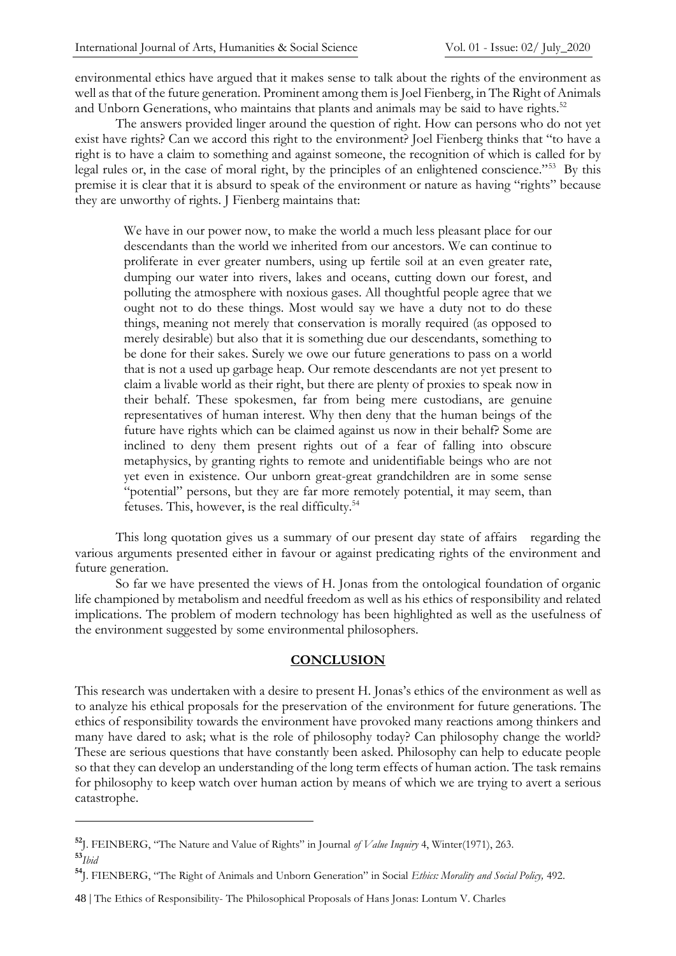environmental ethics have argued that it makes sense to talk about the rights of the environment as well as that of the future generation. Prominent among them is Joel Fienberg, in The Right of Animals and Unborn Generations, who maintains that plants and animals may be said to have rights.<sup>52</sup>

The answers provided linger around the question of right. How can persons who do not yet exist have rights? Can we accord this right to the environment? Joel Fienberg thinks that "to have a right is to have a claim to something and against someone, the recognition of which is called for by legal rules or, in the case of moral right, by the principles of an enlightened conscience."<sup>53</sup> By this premise it is clear that it is absurd to speak of the environment or nature as having "rights" because they are unworthy of rights. J Fienberg maintains that:

We have in our power now, to make the world a much less pleasant place for our descendants than the world we inherited from our ancestors. We can continue to proliferate in ever greater numbers, using up fertile soil at an even greater rate, dumping our water into rivers, lakes and oceans, cutting down our forest, and polluting the atmosphere with noxious gases. All thoughtful people agree that we ought not to do these things. Most would say we have a duty not to do these things, meaning not merely that conservation is morally required (as opposed to merely desirable) but also that it is something due our descendants, something to be done for their sakes. Surely we owe our future generations to pass on a world that is not a used up garbage heap. Our remote descendants are not yet present to claim a livable world as their right, but there are plenty of proxies to speak now in their behalf. These spokesmen, far from being mere custodians, are genuine representatives of human interest. Why then deny that the human beings of the future have rights which can be claimed against us now in their behalf? Some are inclined to deny them present rights out of a fear of falling into obscure metaphysics, by granting rights to remote and unidentifiable beings who are not yet even in existence. Our unborn great-great grandchildren are in some sense "potential" persons, but they are far more remotely potential, it may seem, than fetuses. This, however, is the real difficulty.<sup>54</sup>

This long quotation gives us a summary of our present day state of affairs regarding the various arguments presented either in favour or against predicating rights of the environment and future generation.

So far we have presented the views of H. Jonas from the ontological foundation of organic life championed by metabolism and needful freedom as well as his ethics of responsibility and related implications. The problem of modern technology has been highlighted as well as the usefulness of the environment suggested by some environmental philosophers.

#### **CONCLUSION**

This research was undertaken with a desire to present H. Jonas's ethics of the environment as well as to analyze his ethical proposals for the preservation of the environment for future generations. The ethics of responsibility towards the environment have provoked many reactions among thinkers and many have dared to ask; what is the role of philosophy today? Can philosophy change the world? These are serious questions that have constantly been asked. Philosophy can help to educate people so that they can develop an understanding of the long term effects of human action. The task remains for philosophy to keep watch over human action by means of which we are trying to avert a serious catastrophe.

**<sup>52</sup>**J. FEINBERG, "The Nature and Value of Rights" in Journal *of Value Inquiry* 4, Winter(1971), 263. **<sup>53</sup>***Ibid*

**<sup>54</sup>**J. FIENBERG, "The Right of Animals and Unborn Generation" in Social *Ethics: Morality and Social Policy,* 492.

<sup>48</sup> | The Ethics of Responsibility- The Philosophical Proposals of Hans Jonas: Lontum V. Charles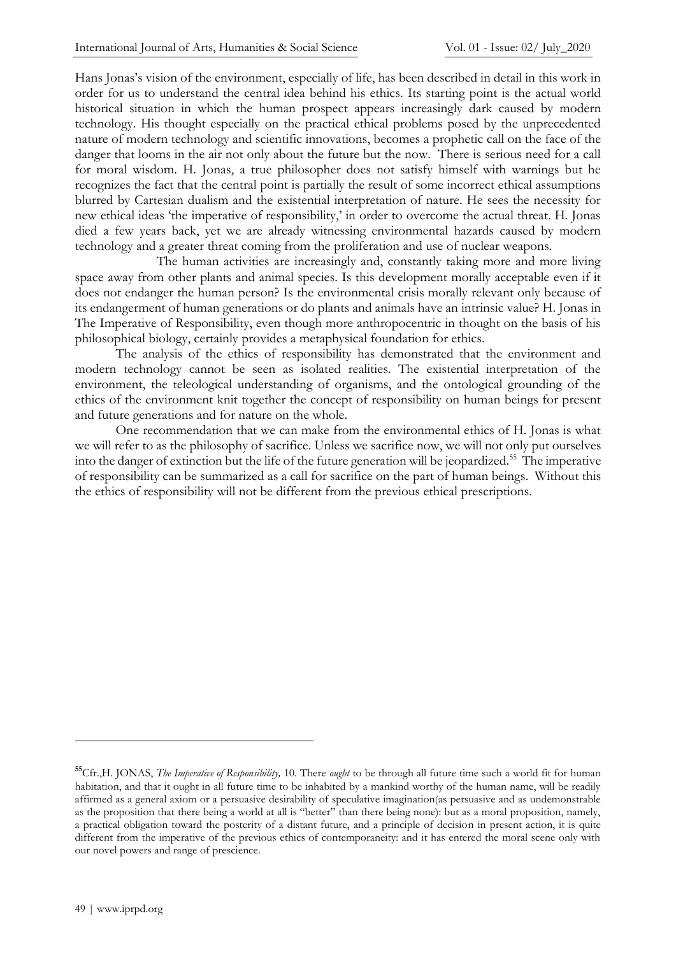Hans Jonas's vision of the environment, especially of life, has been described in detail in this work in order for us to understand the central idea behind his ethics. Its starting point is the actual world historical situation in which the human prospect appears increasingly dark caused by modern technology. His thought especially on the practical ethical problems posed by the unprecedented nature of modern technology and scientific innovations, becomes a prophetic call on the face of the danger that looms in the air not only about the future but the now. There is serious need for a call for moral wisdom. H. Jonas, a true philosopher does not satisfy himself with warnings but he recognizes the fact that the central point is partially the result of some incorrect ethical assumptions blurred by Cartesian dualism and the existential interpretation of nature. He sees the necessity for new ethical ideas 'the imperative of responsibility,' in order to overcome the actual threat. H. Jonas died a few years back, yet we are already witnessing environmental hazards caused by modern technology and a greater threat coming from the proliferation and use of nuclear weapons.

The human activities are increasingly and, constantly taking more and more living space away from other plants and animal species. Is this development morally acceptable even if it does not endanger the human person? Is the environmental crisis morally relevant only because of its endangerment of human generations or do plants and animals have an intrinsic value? H. Jonas in The Imperative of Responsibility, even though more anthropocentric in thought on the basis of his philosophical biology, certainly provides a metaphysical foundation for ethics.

The analysis of the ethics of responsibility has demonstrated that the environment and modern technology cannot be seen as isolated realities. The existential interpretation of the environment, the teleological understanding of organisms, and the ontological grounding of the ethics of the environment knit together the concept of responsibility on human beings for present and future generations and for nature on the whole.

One recommendation that we can make from the environmental ethics of H. Jonas is what we will refer to as the philosophy of sacrifice. Unless we sacrifice now, we will not only put ourselves into the danger of extinction but the life of the future generation will be jeopardized.<sup>55</sup> The imperative of responsibility can be summarized as a call for sacrifice on the part of human beings. Without this the ethics of responsibility will not be different from the previous ethical prescriptions.

**<sup>55</sup>**Cfr.,H. JONAS, *The Imperative of Responsibility,* 10. There *ought* to be through all future time such a world fit for human habitation, and that it ought in all future time to be inhabited by a mankind worthy of the human name, will be readily affirmed as a general axiom or a persuasive desirability of speculative imagination(as persuasive and as undemonstrable as the proposition that there being a world at all is "better" than there being none): but as a moral proposition, namely, a practical obligation toward the posterity of a distant future, and a principle of decision in present action, it is quite different from the imperative of the previous ethics of contemporaneity: and it has entered the moral scene only with our novel powers and range of prescience.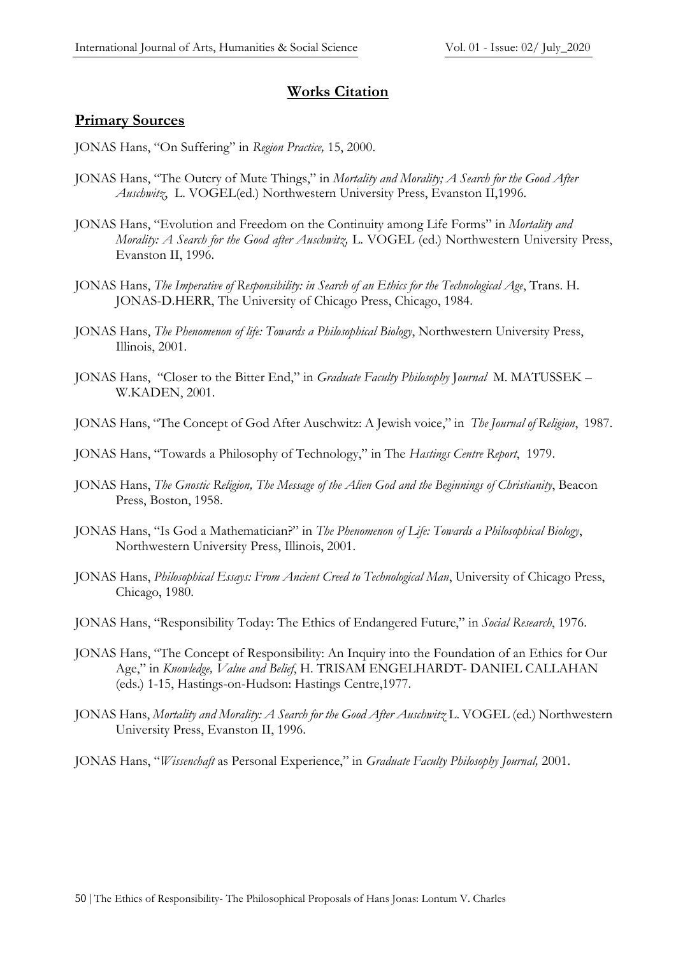# **Works Citation**

## **Primary Sources**

JONAS Hans, "On Suffering" in *Region Practice,* 15, 2000.

- JONAS Hans, "The Outcry of Mute Things," in *Mortality and Morality; A Search for the Good After Auschwitz*, L. VOGEL(ed.) Northwestern University Press, Evanston II,1996.
- JONAS Hans, "Evolution and Freedom on the Continuity among Life Forms" in *Mortality and Morality: A Search for the Good after Auschwitz,* L. VOGEL (ed.) Northwestern University Press, Evanston II, 1996.
- JONAS Hans, *The Imperative of Responsibility: in Search of an Ethics for the Technological Age*, Trans. H. JONAS-D.HERR, The University of Chicago Press, Chicago, 1984.
- JONAS Hans, *The Phenomenon of life: Towards a Philosophical Biology*, Northwestern University Press, Illinois, 2001.
- JONAS Hans, "Closer to the Bitter End," in *Graduate Faculty Philosophy* J*ournal* M. MATUSSEK W.KADEN, 2001.
- JONAS Hans, "The Concept of God After Auschwitz: A Jewish voice," in *The Journal of Religion*, 1987.
- JONAS Hans, "Towards a Philosophy of Technology," in The *Hastings Centre Report*, 1979.
- JONAS Hans, *The Gnostic Religion, The Message of the Alien God and the Beginnings of Christianity*, Beacon Press, Boston, 1958.
- JONAS Hans, "Is God a Mathematician?" in *The Phenomenon of Life: Towards a Philosophical Biology*, Northwestern University Press, Illinois, 2001.
- JONAS Hans, *Philosophical Essays: From Ancient Creed to Technological Man*, University of Chicago Press, Chicago, 1980.
- JONAS Hans, "Responsibility Today: The Ethics of Endangered Future," in *Social Research*, 1976.
- JONAS Hans, "The Concept of Responsibility: An Inquiry into the Foundation of an Ethics for Our Age," in *Knowledge, Value and Belief*, H. TRISAM ENGELHARDT- DANIEL CALLAHAN (eds.) 1-15, Hastings-on-Hudson: Hastings Centre,1977.
- JONAS Hans, *Mortality and Morality: A Search for the Good After Auschwitz* L. VOGEL (ed.) Northwestern University Press, Evanston II, 1996.
- JONAS Hans, "*Wissenchaft* as Personal Experience," in *Graduate Faculty Philosophy Journal,* 2001.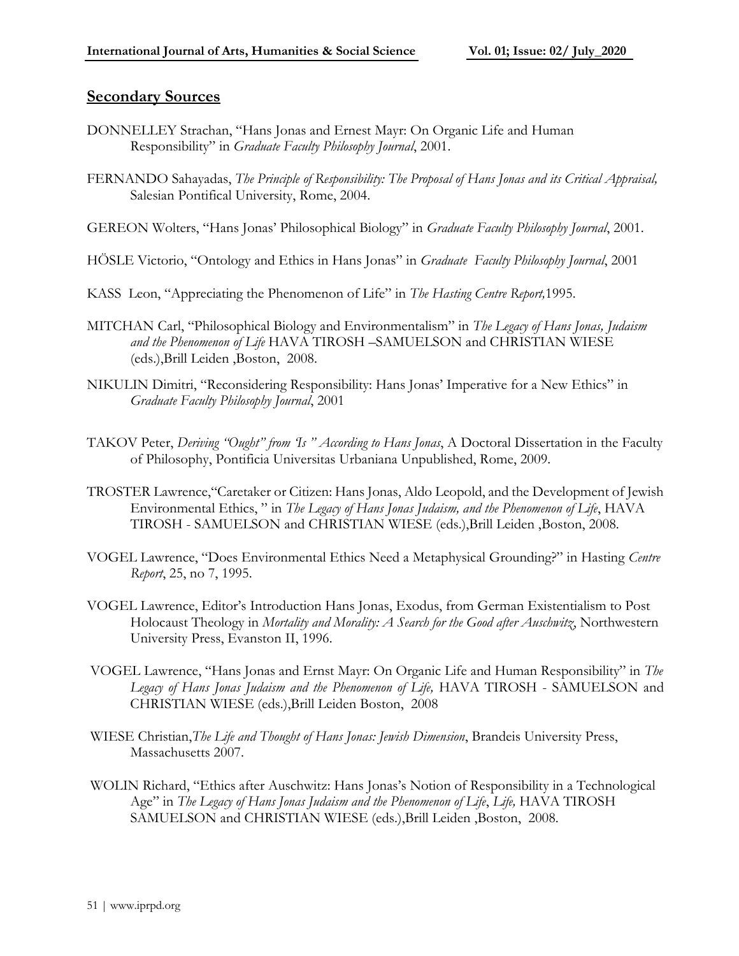#### **Secondary Sources**

- DONNELLEY Strachan, "Hans Jonas and Ernest Mayr: On Organic Life and Human Responsibility" in *Graduate Faculty Philosophy Journal*, 2001.
- FERNANDO Sahayadas, *The Principle of Responsibility: The Proposal of Hans Jonas and its Critical Appraisal,*  Salesian Pontifical University, Rome, 2004.
- GEREON Wolters, "Hans Jonas' Philosophical Biology" in *Graduate Faculty Philosophy Journal*, 2001.
- HÖSLE Victorio, "Ontology and Ethics in Hans Jonas" in *Graduate Faculty Philosophy Journal*, 2001
- KASS Leon, "Appreciating the Phenomenon of Life" in *The Hasting Centre Report,*1995.
- MITCHAN Carl, "Philosophical Biology and Environmentalism" in *The Legacy of Hans Jonas, Judaism and the Phenomenon of Life* HAVA TIROSH –SAMUELSON and CHRISTIAN WIESE (eds.),Brill Leiden ,Boston, 2008.
- NIKULIN Dimitri, "Reconsidering Responsibility: Hans Jonas' Imperative for a New Ethics" in *Graduate Faculty Philosophy Journal*, 2001
- TAKOV Peter, *Deriving "Ought" from 'Is " According to Hans Jonas*, A Doctoral Dissertation in the Faculty of Philosophy, Pontificia Universitas Urbaniana Unpublished, Rome, 2009.
- TROSTER Lawrence,"Caretaker or Citizen: Hans Jonas, Aldo Leopold, and the Development of Jewish Environmental Ethics, " in *The Legacy of Hans Jonas Judaism, and the Phenomenon of Life*, HAVA TIROSH - SAMUELSON and CHRISTIAN WIESE (eds.),Brill Leiden ,Boston, 2008.
- VOGEL Lawrence, "Does Environmental Ethics Need a Metaphysical Grounding?" in Hasting *Centre Report*, 25, no 7, 1995.
- VOGEL Lawrence, Editor's Introduction Hans Jonas, Exodus, from German Existentialism to Post Holocaust Theology in *Mortality and Morality: A Search for the Good after Auschwitz*, Northwestern University Press, Evanston II, 1996.
- VOGEL Lawrence, "Hans Jonas and Ernst Mayr: On Organic Life and Human Responsibility" in *The Legacy of Hans Jonas Judaism and the Phenomenon of Life,* HAVA TIROSH - SAMUELSON and CHRISTIAN WIESE (eds.),Brill Leiden Boston, 2008
- WIESE Christian,*The Life and Thought of Hans Jonas: Jewish Dimension*, Brandeis University Press, Massachusetts 2007.
- WOLIN Richard, "Ethics after Auschwitz: Hans Jonas's Notion of Responsibility in a Technological Age" in *The Legacy of Hans Jonas Judaism and the Phenomenon of Life*, *Life,* HAVA TIROSH SAMUELSON and CHRISTIAN WIESE (eds.),Brill Leiden ,Boston, 2008.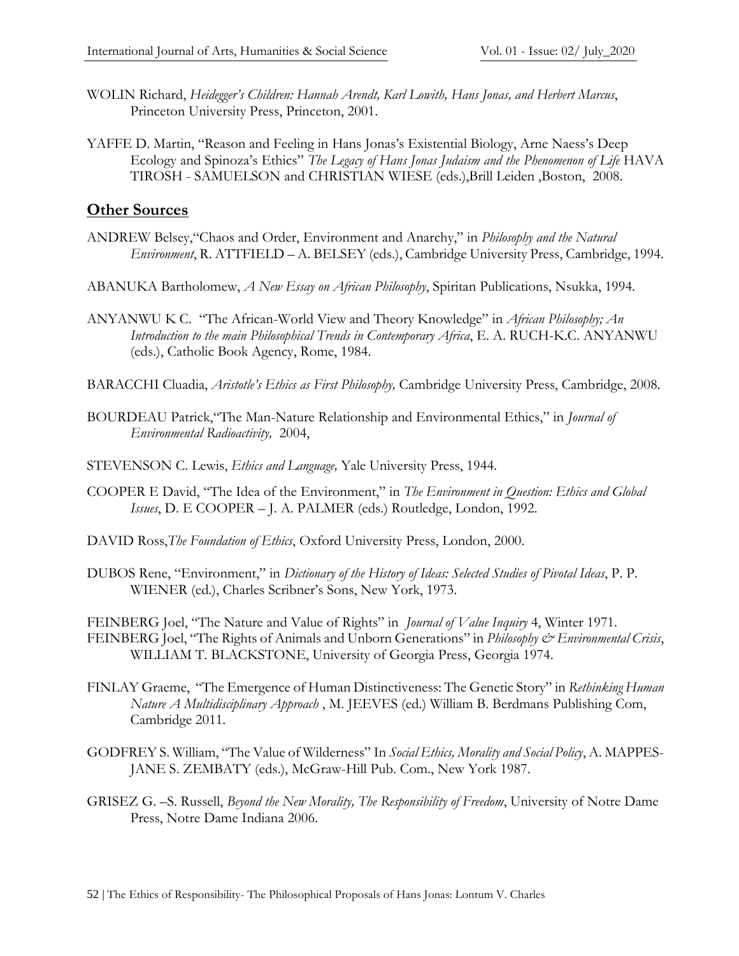- WOLIN Richard, *Heidegger's Children: Hannah Arendt, Karl Lowith, Hans Jonas, and Herbert Marcus*, Princeton University Press, Princeton, 2001.
- YAFFE D. Martin, "Reason and Feeling in Hans Jonas's Existential Biology, Arne Naess's Deep Ecology and Spinoza's Ethics" *The Legacy of Hans Jonas Judaism and the Phenomenon of Life* HAVA TIROSH - SAMUELSON and CHRISTIAN WIESE (eds.),Brill Leiden ,Boston, 2008.

## **Other Sources**

- ANDREW Belsey,"Chaos and Order, Environment and Anarchy," in *Philosophy and the Natural Environment*, R. ATTFIELD – A. BELSEY (eds.), Cambridge University Press, Cambridge, 1994.
- ABANUKA Bartholomew, *A New Essay on African Philosophy*, Spiritan Publications, Nsukka, 1994.
- ANYANWU K C. "The African-World View and Theory Knowledge" in *African Philosophy; An Introduction to the main Philosophical Trends in Contemporary Africa*, E. A. RUCH-K.C. ANYANWU (eds.), Catholic Book Agency, Rome, 1984.
- BARACCHI Cluadia, *Aristotle's Ethics as First Philosophy,* Cambridge University Press, Cambridge, 2008.
- BOURDEAU Patrick,"The Man-Nature Relationship and Environmental Ethics," in *Journal of Environmental Radioactivity,* 2004,
- STEVENSON C. Lewis, *Ethics and Language,* Yale University Press, 1944.
- COOPER E David, "The Idea of the Environment," in *The Environment in Question: Ethics and Global Issues*, D. E COOPER – J. A. PALMER (eds.) Routledge, London, 1992.
- DAVID Ross,*The Foundation of Ethics*, Oxford University Press, London, 2000.
- DUBOS Rene, "Environment," in *Dictionary of the History of Ideas: Selected Studies of Pivotal Ideas*, P. P. WIENER (ed.), Charles Scribner's Sons, New York, 1973.

FEINBERG Joel, "The Nature and Value of Rights" in *Journal of Value Inquiry* 4, Winter 1971. FEINBERG Joel, "The Rights of Animals and Unborn Generations" in *Philosophy & Environmental Crisis*, WILLIAM T. BLACKSTONE, University of Georgia Press, Georgia 1974.

- FINLAY Graeme, "The Emergence of Human Distinctiveness: The Genetic Story" in *Rethinking Human Nature A Multidisciplinary Approach* , M. JEEVES (ed.) William B. Berdmans Publishing Com, Cambridge 2011.
- GODFREY S. William, "The Value of Wilderness" In *Social Ethics, Morality and Social Policy*, A. MAPPES-JANE S. ZEMBATY (eds.), McGraw-Hill Pub. Com., New York 1987.
- GRISEZ G. –S. Russell, *Beyond the New Morality, The Responsibility of Freedom*, University of Notre Dame Press, Notre Dame Indiana 2006.